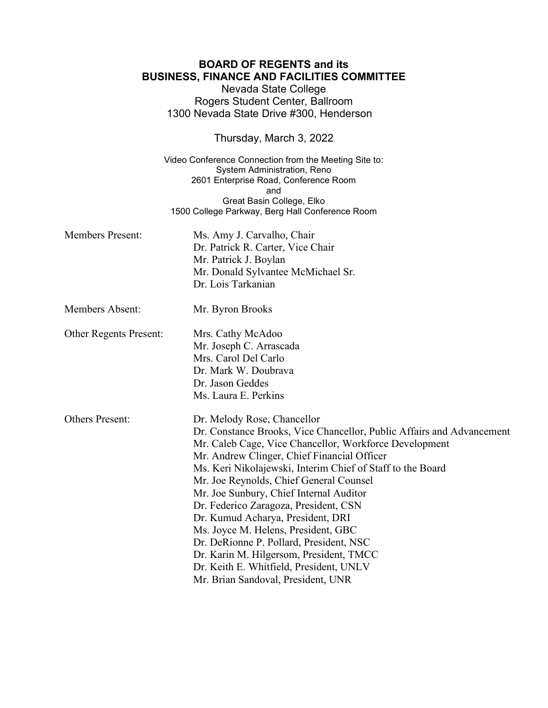## **BOARD OF REGENTS and its BUSINESS, FINANCE AND FACILITIES COMMITTEE**

Nevada State College Rogers Student Center, Ballroom 1300 Nevada State Drive #300, Henderson

Thursday, March 3, 2022

Video Conference Connection from the Meeting Site to: System Administration, Reno 2601 Enterprise Road, Conference Room and Great Basin College, Elko 1500 College Parkway, Berg Hall Conference Room

| <b>Members Present:</b>       | Ms. Amy J. Carvalho, Chair<br>Dr. Patrick R. Carter, Vice Chair<br>Mr. Patrick J. Boylan<br>Mr. Donald Sylvantee McMichael Sr.<br>Dr. Lois Tarkanian                                                                                                                                                                                                                                                                                                                                                                                                                                                                                                          |
|-------------------------------|---------------------------------------------------------------------------------------------------------------------------------------------------------------------------------------------------------------------------------------------------------------------------------------------------------------------------------------------------------------------------------------------------------------------------------------------------------------------------------------------------------------------------------------------------------------------------------------------------------------------------------------------------------------|
| <b>Members Absent:</b>        | Mr. Byron Brooks                                                                                                                                                                                                                                                                                                                                                                                                                                                                                                                                                                                                                                              |
| <b>Other Regents Present:</b> | Mrs. Cathy McAdoo<br>Mr. Joseph C. Arrascada<br>Mrs. Carol Del Carlo<br>Dr. Mark W. Doubrava<br>Dr. Jason Geddes<br>Ms. Laura E. Perkins                                                                                                                                                                                                                                                                                                                                                                                                                                                                                                                      |
| <b>Others Present:</b>        | Dr. Melody Rose, Chancellor<br>Dr. Constance Brooks, Vice Chancellor, Public Affairs and Advancement<br>Mr. Caleb Cage, Vice Chancellor, Workforce Development<br>Mr. Andrew Clinger, Chief Financial Officer<br>Ms. Keri Nikolajewski, Interim Chief of Staff to the Board<br>Mr. Joe Reynolds, Chief General Counsel<br>Mr. Joe Sunbury, Chief Internal Auditor<br>Dr. Federico Zaragoza, President, CSN<br>Dr. Kumud Acharya, President, DRI<br>Ms. Joyce M. Helens, President, GBC<br>Dr. DeRionne P. Pollard, President, NSC<br>Dr. Karin M. Hilgersom, President, TMCC<br>Dr. Keith E. Whitfield, President, UNLV<br>Mr. Brian Sandoval, President, UNR |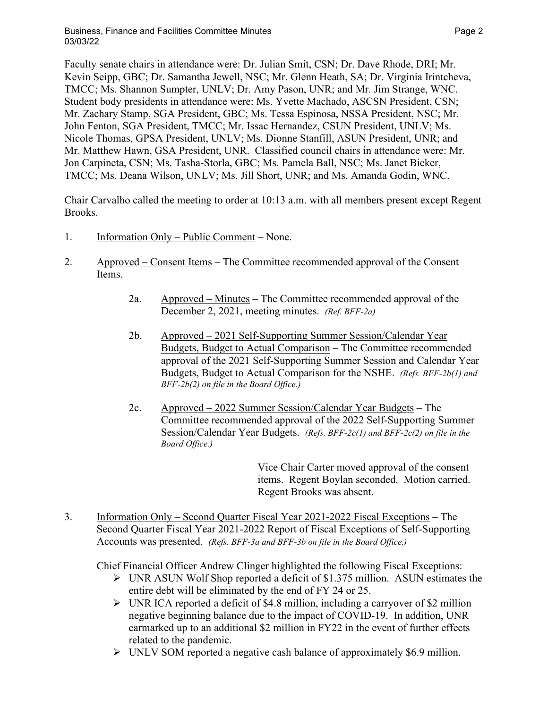Faculty senate chairs in attendance were: Dr. Julian Smit, CSN; Dr. Dave Rhode, DRI; Mr. Kevin Seipp, GBC; Dr. Samantha Jewell, NSC; Mr. Glenn Heath, SA; Dr. Virginia Irintcheva, TMCC; Ms. Shannon Sumpter, UNLV; Dr. Amy Pason, UNR; and Mr. Jim Strange, WNC. Student body presidents in attendance were: Ms. Yvette Machado, ASCSN President, CSN; Mr. Zachary Stamp, SGA President, GBC; Ms. Tessa Espinosa, NSSA President, NSC; Mr. John Fenton, SGA President, TMCC; Mr. Issac Hernandez, CSUN President, UNLV; Ms. Nicole Thomas, GPSA President, UNLV; Ms. Dionne Stanfill, ASUN President, UNR; and Mr. Matthew Hawn, GSA President, UNR. Classified council chairs in attendance were: Mr. Jon Carpineta, CSN; Ms. Tasha-Storla, GBC; Ms. Pamela Ball, NSC; Ms. Janet Bicker, TMCC; Ms. Deana Wilson, UNLV; Ms. Jill Short, UNR; and Ms. Amanda Godin, WNC.

Chair Carvalho called the meeting to order at 10:13 a.m. with all members present except Regent Brooks.

- 1. Information Only Public Comment None.
- 2. Approved Consent Items The Committee recommended approval of the Consent Items.
	- 2a. Approved Minutes The Committee recommended approval of the December 2, 2021, meeting minutes. *(Ref. BFF-2a)*
	- 2b. Approved 2021 Self-Supporting Summer Session/Calendar Year Budgets, Budget to Actual Comparison – The Committee recommended approval of the 2021 Self-Supporting Summer Session and Calendar Year Budgets, Budget to Actual Comparison for the NSHE. *(Refs. BFF-2b(1) and BFF-2b(2) on file in the Board Office.)*
	- 2c. Approved 2022 Summer Session/Calendar Year Budgets The Committee recommended approval of the 2022 Self-Supporting Summer Session/Calendar Year Budgets. *(Refs. BFF-2c(1) and BFF-2c(2) on file in the Board Office.)*

Vice Chair Carter moved approval of the consent items. Regent Boylan seconded. Motion carried. Regent Brooks was absent.

3. Information Only – Second Quarter Fiscal Year 2021-2022 Fiscal Exceptions – The Second Quarter Fiscal Year 2021-2022 Report of Fiscal Exceptions of Self-Supporting Accounts was presented. *(Refs. BFF-3a and BFF-3b on file in the Board Office.)*

Chief Financial Officer Andrew Clinger highlighted the following Fiscal Exceptions:

- $\triangleright$  UNR ASUN Wolf Shop reported a deficit of \$1.375 million. ASUN estimates the entire debt will be eliminated by the end of FY 24 or 25.
- $\triangleright$  UNR ICA reported a deficit of \$4.8 million, including a carryover of \$2 million negative beginning balance due to the impact of COVID-19. In addition, UNR earmarked up to an additional \$2 million in FY22 in the event of further effects related to the pandemic.
- UNLV SOM reported a negative cash balance of approximately \$6.9 million.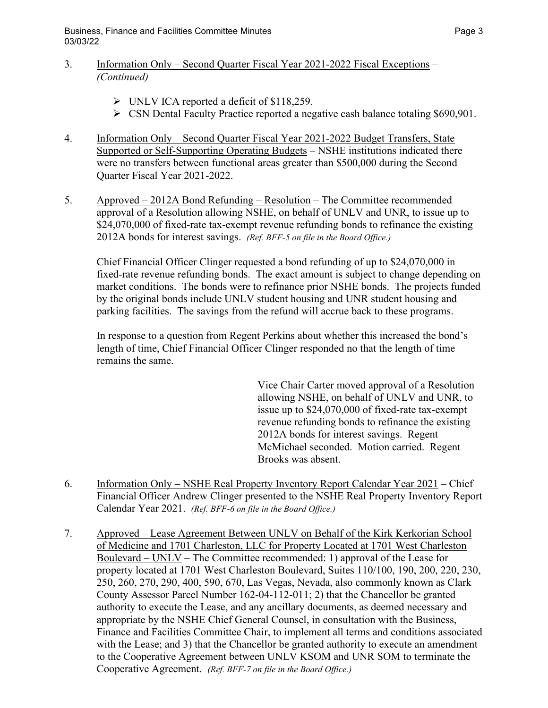- 3. Information Only Second Quarter Fiscal Year 2021-2022 Fiscal Exceptions *(Continued)* 
	- UNLV ICA reported a deficit of \$118,259.
	- CSN Dental Faculty Practice reported a negative cash balance totaling \$690,901.
- 4. Information Only Second Quarter Fiscal Year 2021-2022 Budget Transfers, State Supported or Self-Supporting Operating Budgets – NSHE institutions indicated there were no transfers between functional areas greater than \$500,000 during the Second Quarter Fiscal Year 2021-2022.
- 5. Approved 2012A Bond Refunding Resolution The Committee recommended approval of a Resolution allowing NSHE, on behalf of UNLV and UNR, to issue up to \$24,070,000 of fixed-rate tax-exempt revenue refunding bonds to refinance the existing 2012A bonds for interest savings. *(Ref. BFF-5 on file in the Board Office.)*

Chief Financial Officer Clinger requested a bond refunding of up to \$24,070,000 in fixed-rate revenue refunding bonds. The exact amount is subject to change depending on market conditions. The bonds were to refinance prior NSHE bonds. The projects funded by the original bonds include UNLV student housing and UNR student housing and parking facilities. The savings from the refund will accrue back to these programs.

In response to a question from Regent Perkins about whether this increased the bond's length of time, Chief Financial Officer Clinger responded no that the length of time remains the same.

> Vice Chair Carter moved approval of a Resolution allowing NSHE, on behalf of UNLV and UNR, to issue up to \$24,070,000 of fixed-rate tax-exempt revenue refunding bonds to refinance the existing 2012A bonds for interest savings. Regent McMichael seconded. Motion carried. Regent Brooks was absent.

- 6. Information Only NSHE Real Property Inventory Report Calendar Year 2021 Chief Financial Officer Andrew Clinger presented to the NSHE Real Property Inventory Report Calendar Year 2021. *(Ref. BFF-6 on file in the Board Office.)*
- 7. Approved Lease Agreement Between UNLV on Behalf of the Kirk Kerkorian School of Medicine and 1701 Charleston, LLC for Property Located at 1701 West Charleston Boulevard – UNLV – The Committee recommended: 1) approval of the Lease for property located at 1701 West Charleston Boulevard, Suites 110/100, 190, 200, 220, 230, 250, 260, 270, 290, 400, 590, 670, Las Vegas, Nevada, also commonly known as Clark County Assessor Parcel Number 162-04-112-011; 2) that the Chancellor be granted authority to execute the Lease, and any ancillary documents, as deemed necessary and appropriate by the NSHE Chief General Counsel, in consultation with the Business, Finance and Facilities Committee Chair, to implement all terms and conditions associated with the Lease; and 3) that the Chancellor be granted authority to execute an amendment to the Cooperative Agreement between UNLV KSOM and UNR SOM to terminate the Cooperative Agreement. *(Ref. BFF-7 on file in the Board Office.)*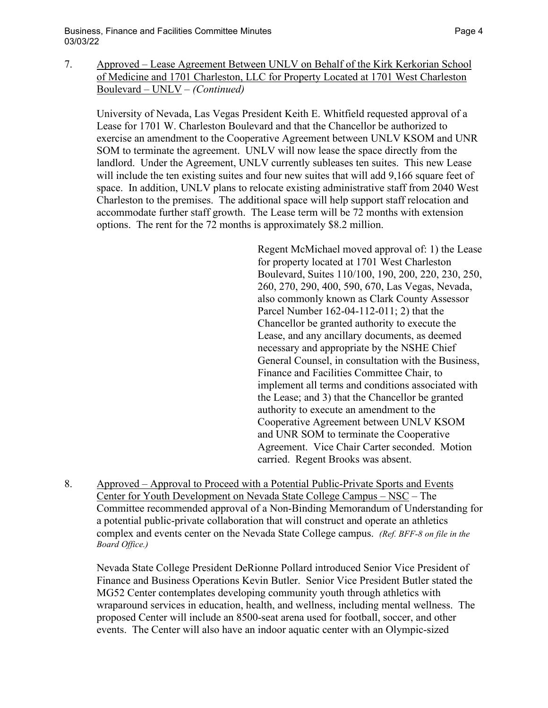7. Approved – Lease Agreement Between UNLV on Behalf of the Kirk Kerkorian School of Medicine and 1701 Charleston, LLC for Property Located at 1701 West Charleston Boulevard – UNLV – *(Continued)*

University of Nevada, Las Vegas President Keith E. Whitfield requested approval of a Lease for 1701 W. Charleston Boulevard and that the Chancellor be authorized to exercise an amendment to the Cooperative Agreement between UNLV KSOM and UNR SOM to terminate the agreement. UNLV will now lease the space directly from the landlord. Under the Agreement, UNLV currently subleases ten suites. This new Lease will include the ten existing suites and four new suites that will add 9,166 square feet of space. In addition, UNLV plans to relocate existing administrative staff from 2040 West Charleston to the premises. The additional space will help support staff relocation and accommodate further staff growth. The Lease term will be 72 months with extension options. The rent for the 72 months is approximately \$8.2 million.

> Regent McMichael moved approval of: 1) the Lease for property located at 1701 West Charleston Boulevard, Suites 110/100, 190, 200, 220, 230, 250, 260, 270, 290, 400, 590, 670, Las Vegas, Nevada, also commonly known as Clark County Assessor Parcel Number 162-04-112-011; 2) that the Chancellor be granted authority to execute the Lease, and any ancillary documents, as deemed necessary and appropriate by the NSHE Chief General Counsel, in consultation with the Business, Finance and Facilities Committee Chair, to implement all terms and conditions associated with the Lease; and 3) that the Chancellor be granted authority to execute an amendment to the Cooperative Agreement between UNLV KSOM and UNR SOM to terminate the Cooperative Agreement. Vice Chair Carter seconded. Motion carried. Regent Brooks was absent.

8. Approved – Approval to Proceed with a Potential Public-Private Sports and Events Center for Youth Development on Nevada State College Campus – NSC – The Committee recommended approval of a Non-Binding Memorandum of Understanding for a potential public-private collaboration that will construct and operate an athletics complex and events center on the Nevada State College campus. *(Ref. BFF-8 on file in the Board Office.)*

Nevada State College President DeRionne Pollard introduced Senior Vice President of Finance and Business Operations Kevin Butler. Senior Vice President Butler stated the MG52 Center contemplates developing community youth through athletics with wraparound services in education, health, and wellness, including mental wellness. The proposed Center will include an 8500-seat arena used for football, soccer, and other events. The Center will also have an indoor aquatic center with an Olympic-sized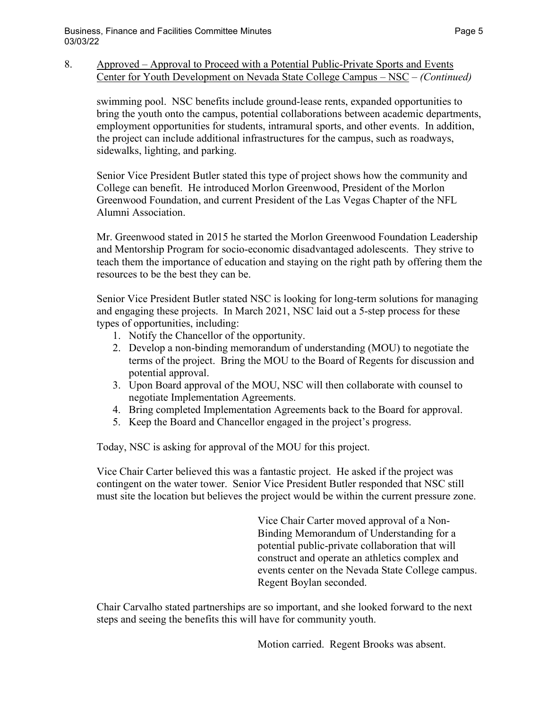8. Approved – Approval to Proceed with a Potential Public-Private Sports and Events Center for Youth Development on Nevada State College Campus – NSC – *(Continued)*

swimming pool. NSC benefits include ground-lease rents, expanded opportunities to bring the youth onto the campus, potential collaborations between academic departments, employment opportunities for students, intramural sports, and other events. In addition, the project can include additional infrastructures for the campus, such as roadways, sidewalks, lighting, and parking.

Senior Vice President Butler stated this type of project shows how the community and College can benefit. He introduced Morlon Greenwood, President of the Morlon Greenwood Foundation, and current President of the Las Vegas Chapter of the NFL Alumni Association.

Mr. Greenwood stated in 2015 he started the Morlon Greenwood Foundation Leadership and Mentorship Program for socio-economic disadvantaged adolescents. They strive to teach them the importance of education and staying on the right path by offering them the resources to be the best they can be.

Senior Vice President Butler stated NSC is looking for long-term solutions for managing and engaging these projects. In March 2021, NSC laid out a 5-step process for these types of opportunities, including:

- 1. Notify the Chancellor of the opportunity.
- 2. Develop a non-binding memorandum of understanding (MOU) to negotiate the terms of the project. Bring the MOU to the Board of Regents for discussion and potential approval.
- 3. Upon Board approval of the MOU, NSC will then collaborate with counsel to negotiate Implementation Agreements.
- 4. Bring completed Implementation Agreements back to the Board for approval.
- 5. Keep the Board and Chancellor engaged in the project's progress.

Today, NSC is asking for approval of the MOU for this project.

Vice Chair Carter believed this was a fantastic project. He asked if the project was contingent on the water tower. Senior Vice President Butler responded that NSC still must site the location but believes the project would be within the current pressure zone.

> Vice Chair Carter moved approval of a Non-Binding Memorandum of Understanding for a potential public-private collaboration that will construct and operate an athletics complex and events center on the Nevada State College campus. Regent Boylan seconded.

Chair Carvalho stated partnerships are so important, and she looked forward to the next steps and seeing the benefits this will have for community youth.

Motion carried. Regent Brooks was absent.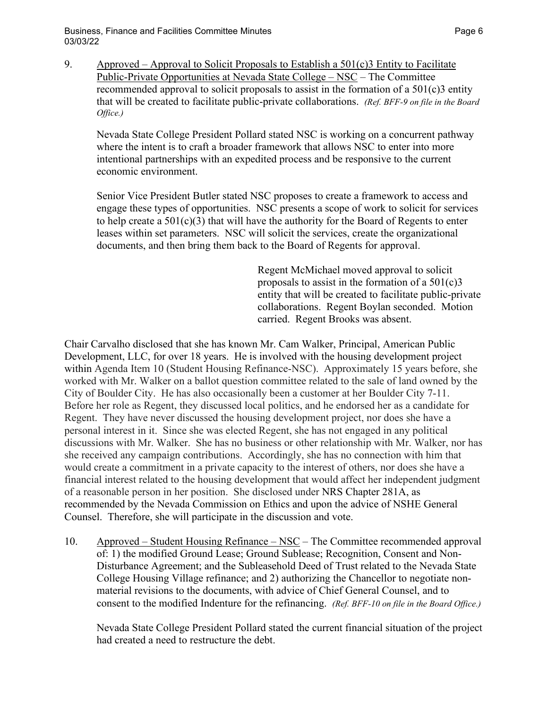Business, Finance and Facilities Committee Minutes **Page 6** and the Page 6 03/03/22

- 
- 9. Approved Approval to Solicit Proposals to Establish a 501(c)3 Entity to Facilitate Public-Private Opportunities at Nevada State College – NSC – The Committee recommended approval to solicit proposals to assist in the formation of a 501(c)3 entity that will be created to facilitate public-private collaborations. *(Ref. BFF-9 on file in the Board Office.)*

Nevada State College President Pollard stated NSC is working on a concurrent pathway where the intent is to craft a broader framework that allows NSC to enter into more intentional partnerships with an expedited process and be responsive to the current economic environment.

Senior Vice President Butler stated NSC proposes to create a framework to access and engage these types of opportunities. NSC presents a scope of work to solicit for services to help create a  $501(c)(3)$  that will have the authority for the Board of Regents to enter leases within set parameters. NSC will solicit the services, create the organizational documents, and then bring them back to the Board of Regents for approval.

> Regent McMichael moved approval to solicit proposals to assist in the formation of a  $501(c)3$ entity that will be created to facilitate public-private collaborations. Regent Boylan seconded. Motion carried. Regent Brooks was absent.

Chair Carvalho disclosed that she has known Mr. Cam Walker, Principal, American Public Development, LLC, for over 18 years. He is involved with the housing development project within Agenda Item 10 (Student Housing Refinance-NSC). Approximately 15 years before, she worked with Mr. Walker on a ballot question committee related to the sale of land owned by the City of Boulder City. He has also occasionally been a customer at her Boulder City 7-11. Before her role as Regent, they discussed local politics, and he endorsed her as a candidate for Regent. They have never discussed the housing development project, nor does she have a personal interest in it. Since she was elected Regent, she has not engaged in any political discussions with Mr. Walker. She has no business or other relationship with Mr. Walker, nor has she received any campaign contributions. Accordingly, she has no connection with him that would create a commitment in a private capacity to the interest of others, nor does she have a financial interest related to the housing development that would affect her independent judgment of a reasonable person in her position. She disclosed under NRS Chapter 281A, as recommended by the Nevada Commission on Ethics and upon the advice of NSHE General Counsel. Therefore, she will participate in the discussion and vote.

10. Approved – Student Housing Refinance – NSC – The Committee recommended approval of: 1) the modified Ground Lease; Ground Sublease; Recognition, Consent and Non-Disturbance Agreement; and the Subleasehold Deed of Trust related to the Nevada State College Housing Village refinance; and 2) authorizing the Chancellor to negotiate nonmaterial revisions to the documents, with advice of Chief General Counsel, and to consent to the modified Indenture for the refinancing. *(Ref. BFF-10 on file in the Board Office.)*

Nevada State College President Pollard stated the current financial situation of the project had created a need to restructure the debt.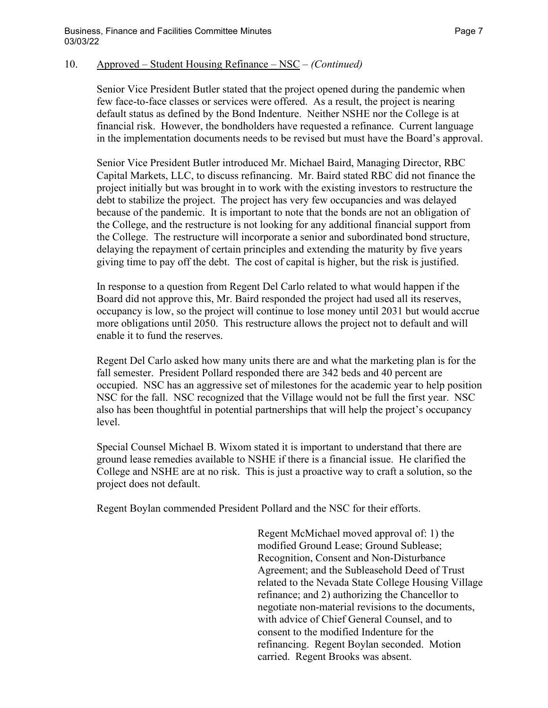## 10. Approved – Student Housing Refinance – NSC – *(Continued)*

Senior Vice President Butler stated that the project opened during the pandemic when few face-to-face classes or services were offered. As a result, the project is nearing default status as defined by the Bond Indenture. Neither NSHE nor the College is at financial risk. However, the bondholders have requested a refinance. Current language in the implementation documents needs to be revised but must have the Board's approval.

Senior Vice President Butler introduced Mr. Michael Baird, Managing Director, RBC Capital Markets, LLC, to discuss refinancing. Mr. Baird stated RBC did not finance the project initially but was brought in to work with the existing investors to restructure the debt to stabilize the project. The project has very few occupancies and was delayed because of the pandemic. It is important to note that the bonds are not an obligation of the College, and the restructure is not looking for any additional financial support from the College. The restructure will incorporate a senior and subordinated bond structure, delaying the repayment of certain principles and extending the maturity by five years giving time to pay off the debt. The cost of capital is higher, but the risk is justified.

In response to a question from Regent Del Carlo related to what would happen if the Board did not approve this, Mr. Baird responded the project had used all its reserves, occupancy is low, so the project will continue to lose money until 2031 but would accrue more obligations until 2050. This restructure allows the project not to default and will enable it to fund the reserves.

Regent Del Carlo asked how many units there are and what the marketing plan is for the fall semester. President Pollard responded there are 342 beds and 40 percent are occupied. NSC has an aggressive set of milestones for the academic year to help position NSC for the fall. NSC recognized that the Village would not be full the first year. NSC also has been thoughtful in potential partnerships that will help the project's occupancy level.

Special Counsel Michael B. Wixom stated it is important to understand that there are ground lease remedies available to NSHE if there is a financial issue. He clarified the College and NSHE are at no risk. This is just a proactive way to craft a solution, so the project does not default.

Regent Boylan commended President Pollard and the NSC for their efforts.

Regent McMichael moved approval of: 1) the modified Ground Lease; Ground Sublease; Recognition, Consent and Non-Disturbance Agreement; and the Subleasehold Deed of Trust related to the Nevada State College Housing Village refinance; and 2) authorizing the Chancellor to negotiate non-material revisions to the documents, with advice of Chief General Counsel, and to consent to the modified Indenture for the refinancing. Regent Boylan seconded. Motion carried. Regent Brooks was absent.